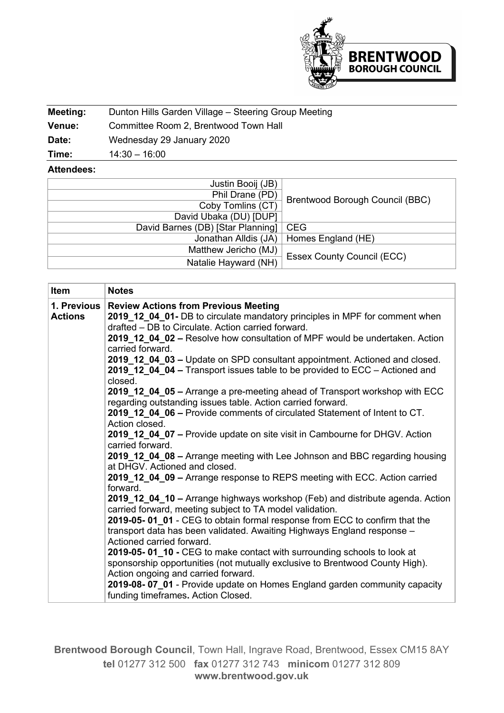

| Meeting:      | Dunton Hills Garden Village - Steering Group Meeting |
|---------------|------------------------------------------------------|
| <b>Venue:</b> | Committee Room 2, Brentwood Town Hall                |
| Date:         | Wednesday 29 January 2020                            |
| Time:         | $14:30 - 16:00$                                      |

## **Attendees:**

| Justin Booij (JB)                 |                                        |
|-----------------------------------|----------------------------------------|
| Phil Drane (PD)                   | <b>Brentwood Borough Council (BBC)</b> |
| Coby Tomlins (CT)                 |                                        |
| David Ubaka (DU) [DUP]            |                                        |
| David Barnes (DB) [Star Planning] | <b>CEG</b>                             |
| Jonathan Alldis (JA)              | Homes England (HE)                     |
| Matthew Jericho (MJ)              | <b>Essex County Council (ECC)</b>      |
| Natalie Hayward (NH)              |                                        |

| Item                          | <b>Notes</b>                                                                                                                                                                                                                                                                                                                                                                                                                                                                                                                                                                                                                                                                                                                                                                                                                                                                                                                                                                                                                                                                                                                                                                                                                                                                                         |
|-------------------------------|------------------------------------------------------------------------------------------------------------------------------------------------------------------------------------------------------------------------------------------------------------------------------------------------------------------------------------------------------------------------------------------------------------------------------------------------------------------------------------------------------------------------------------------------------------------------------------------------------------------------------------------------------------------------------------------------------------------------------------------------------------------------------------------------------------------------------------------------------------------------------------------------------------------------------------------------------------------------------------------------------------------------------------------------------------------------------------------------------------------------------------------------------------------------------------------------------------------------------------------------------------------------------------------------------|
| 1. Previous<br><b>Actions</b> | <b>Review Actions from Previous Meeting</b><br>2019_12_04_01- DB to circulate mandatory principles in MPF for comment when<br>drafted - DB to Circulate. Action carried forward.<br>2019_12_04_02 - Resolve how consultation of MPF would be undertaken. Action<br>carried forward.<br>2019_12_04_03 - Update on SPD consultant appointment. Actioned and closed.                                                                                                                                                                                                                                                                                                                                                                                                                                                                                                                                                                                                                                                                                                                                                                                                                                                                                                                                    |
|                               | 2019_12_04_04 - Transport issues table to be provided to ECC - Actioned and<br>closed.<br>2019_12_04_05 - Arrange a pre-meeting ahead of Transport workshop with ECC<br>regarding outstanding issues table. Action carried forward.<br>2019_12_04_06 - Provide comments of circulated Statement of Intent to CT.<br>Action closed.<br>2019_12_04_07 - Provide update on site visit in Cambourne for DHGV. Action<br>carried forward.<br>2019_12_04_08 - Arrange meeting with Lee Johnson and BBC regarding housing<br>at DHGV. Actioned and closed.<br>2019_12_04_09 - Arrange response to REPS meeting with ECC. Action carried<br>forward.<br>2019_12_04_10 - Arrange highways workshop (Feb) and distribute agenda. Action<br>carried forward, meeting subject to TA model validation.<br>2019-05-01 01 - CEG to obtain formal response from ECC to confirm that the<br>transport data has been validated. Awaiting Highways England response -<br>Actioned carried forward.<br>2019-05-01_10 - CEG to make contact with surrounding schools to look at<br>sponsorship opportunities (not mutually exclusive to Brentwood County High).<br>Action ongoing and carried forward.<br>2019-08-07_01 - Provide update on Homes England garden community capacity<br>funding timeframes. Action Closed. |

**Brentwood Borough Council**, Town Hall, Ingrave Road, Brentwood, Essex CM15 8AY **tel** 01277 312 500 **fax** 01277 312 743 **minicom** 01277 312 809 **www.brentwood.gov.uk**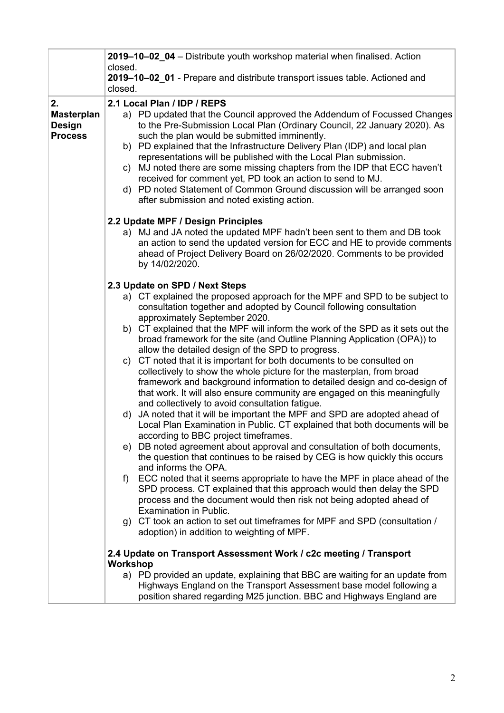|                                                                                                                                                                                                                                                 | 2019-10-02 04 - Distribute youth workshop material when finalised. Action                                                                                                                                                                                                                                                                                                                                                                                                                             |  |  |  |  |
|-------------------------------------------------------------------------------------------------------------------------------------------------------------------------------------------------------------------------------------------------|-------------------------------------------------------------------------------------------------------------------------------------------------------------------------------------------------------------------------------------------------------------------------------------------------------------------------------------------------------------------------------------------------------------------------------------------------------------------------------------------------------|--|--|--|--|
|                                                                                                                                                                                                                                                 | closed.<br>2019-10-02_01 - Prepare and distribute transport issues table. Actioned and                                                                                                                                                                                                                                                                                                                                                                                                                |  |  |  |  |
|                                                                                                                                                                                                                                                 | closed.                                                                                                                                                                                                                                                                                                                                                                                                                                                                                               |  |  |  |  |
| 2.                                                                                                                                                                                                                                              | 2.1 Local Plan / IDP / REPS                                                                                                                                                                                                                                                                                                                                                                                                                                                                           |  |  |  |  |
| <b>Masterplan</b><br><b>Design</b><br><b>Process</b>                                                                                                                                                                                            | a) PD updated that the Council approved the Addendum of Focussed Changes<br>to the Pre-Submission Local Plan (Ordinary Council, 22 January 2020). As<br>such the plan would be submitted imminently.<br>b) PD explained that the Infrastructure Delivery Plan (IDP) and local plan<br>representations will be published with the Local Plan submission.<br>MJ noted there are some missing chapters from the IDP that ECC haven't<br>C)<br>received for comment yet, PD took an action to send to MJ. |  |  |  |  |
|                                                                                                                                                                                                                                                 | d) PD noted Statement of Common Ground discussion will be arranged soon<br>after submission and noted existing action.                                                                                                                                                                                                                                                                                                                                                                                |  |  |  |  |
|                                                                                                                                                                                                                                                 | 2.2 Update MPF / Design Principles                                                                                                                                                                                                                                                                                                                                                                                                                                                                    |  |  |  |  |
| a) MJ and JA noted the updated MPF hadn't been sent to them and DB took<br>an action to send the updated version for ECC and HE to provide comments<br>ahead of Project Delivery Board on 26/02/2020. Comments to be provided<br>by 14/02/2020. |                                                                                                                                                                                                                                                                                                                                                                                                                                                                                                       |  |  |  |  |
|                                                                                                                                                                                                                                                 | 2.3 Update on SPD / Next Steps                                                                                                                                                                                                                                                                                                                                                                                                                                                                        |  |  |  |  |
|                                                                                                                                                                                                                                                 | a) CT explained the proposed approach for the MPF and SPD to be subject to<br>consultation together and adopted by Council following consultation<br>approximately September 2020.                                                                                                                                                                                                                                                                                                                    |  |  |  |  |
|                                                                                                                                                                                                                                                 | b) CT explained that the MPF will inform the work of the SPD as it sets out the<br>broad framework for the site (and Outline Planning Application (OPA)) to<br>allow the detailed design of the SPD to progress.                                                                                                                                                                                                                                                                                      |  |  |  |  |
|                                                                                                                                                                                                                                                 | CT noted that it is important for both documents to be consulted on<br>C)<br>collectively to show the whole picture for the masterplan, from broad<br>framework and background information to detailed design and co-design of<br>that work. It will also ensure community are engaged on this meaningfully<br>and collectively to avoid consultation fatigue.                                                                                                                                        |  |  |  |  |
|                                                                                                                                                                                                                                                 | JA noted that it will be important the MPF and SPD are adopted ahead of<br>d)<br>Local Plan Examination in Public. CT explained that both documents will be<br>according to BBC project timeframes.                                                                                                                                                                                                                                                                                                   |  |  |  |  |
|                                                                                                                                                                                                                                                 | e) DB noted agreement about approval and consultation of both documents,<br>the question that continues to be raised by CEG is how quickly this occurs<br>and informs the OPA.                                                                                                                                                                                                                                                                                                                        |  |  |  |  |
|                                                                                                                                                                                                                                                 | ECC noted that it seems appropriate to have the MPF in place ahead of the<br>f)<br>SPD process. CT explained that this approach would then delay the SPD<br>process and the document would then risk not being adopted ahead of<br>Examination in Public.                                                                                                                                                                                                                                             |  |  |  |  |
|                                                                                                                                                                                                                                                 | g) CT took an action to set out timeframes for MPF and SPD (consultation /<br>adoption) in addition to weighting of MPF.                                                                                                                                                                                                                                                                                                                                                                              |  |  |  |  |
|                                                                                                                                                                                                                                                 | 2.4 Update on Transport Assessment Work / c2c meeting / Transport<br><b>Workshop</b>                                                                                                                                                                                                                                                                                                                                                                                                                  |  |  |  |  |
|                                                                                                                                                                                                                                                 | a) PD provided an update, explaining that BBC are waiting for an update from<br>Highways England on the Transport Assessment base model following a<br>position shared regarding M25 junction. BBC and Highways England are                                                                                                                                                                                                                                                                           |  |  |  |  |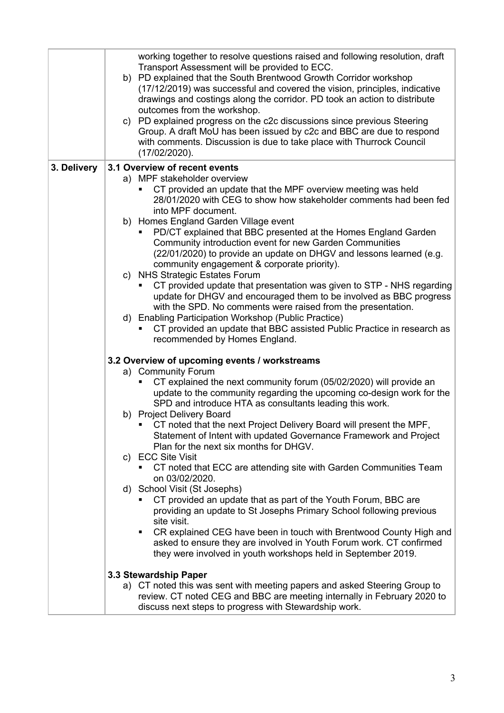|             | working together to resolve questions raised and following resolution, draft<br>Transport Assessment will be provided to ECC.<br>b) PD explained that the South Brentwood Growth Corridor workshop<br>(17/12/2019) was successful and covered the vision, principles, indicative<br>drawings and costings along the corridor. PD took an action to distribute<br>outcomes from the workshop.<br>c) PD explained progress on the c2c discussions since previous Steering<br>Group. A draft MoU has been issued by c2c and BBC are due to respond<br>with comments. Discussion is due to take place with Thurrock Council<br>$(17/02/2020)$ . |  |  |  |
|-------------|---------------------------------------------------------------------------------------------------------------------------------------------------------------------------------------------------------------------------------------------------------------------------------------------------------------------------------------------------------------------------------------------------------------------------------------------------------------------------------------------------------------------------------------------------------------------------------------------------------------------------------------------|--|--|--|
| 3. Delivery | 3.1 Overview of recent events                                                                                                                                                                                                                                                                                                                                                                                                                                                                                                                                                                                                               |  |  |  |
|             | a) MPF stakeholder overview<br>CT provided an update that the MPF overview meeting was held<br>28/01/2020 with CEG to show how stakeholder comments had been fed<br>into MPF document.                                                                                                                                                                                                                                                                                                                                                                                                                                                      |  |  |  |
|             | b) Homes England Garden Village event<br>PD/CT explained that BBC presented at the Homes England Garden<br>Community introduction event for new Garden Communities<br>(22/01/2020) to provide an update on DHGV and lessons learned (e.g.<br>community engagement & corporate priority).                                                                                                                                                                                                                                                                                                                                                    |  |  |  |
|             | c) NHS Strategic Estates Forum<br>CT provided update that presentation was given to STP - NHS regarding<br>update for DHGV and encouraged them to be involved as BBC progress<br>with the SPD. No comments were raised from the presentation.                                                                                                                                                                                                                                                                                                                                                                                               |  |  |  |
|             | d) Enabling Participation Workshop (Public Practice)<br>CT provided an update that BBC assisted Public Practice in research as<br>recommended by Homes England.                                                                                                                                                                                                                                                                                                                                                                                                                                                                             |  |  |  |
|             | 3.2 Overview of upcoming events / workstreams                                                                                                                                                                                                                                                                                                                                                                                                                                                                                                                                                                                               |  |  |  |
|             | a) Community Forum                                                                                                                                                                                                                                                                                                                                                                                                                                                                                                                                                                                                                          |  |  |  |
|             | CT explained the next community forum (05/02/2020) will provide an<br>update to the community regarding the upcoming co-design work for the<br>SPD and introduce HTA as consultants leading this work.                                                                                                                                                                                                                                                                                                                                                                                                                                      |  |  |  |
|             | b) Project Delivery Board<br>CT noted that the next Project Delivery Board will present the MPF<br>Statement of Intent with updated Governance Framework and Project<br>Plan for the next six months for DHGV.                                                                                                                                                                                                                                                                                                                                                                                                                              |  |  |  |
|             | c) ECC Site Visit<br>CT noted that ECC are attending site with Garden Communities Team<br>on 03/02/2020.                                                                                                                                                                                                                                                                                                                                                                                                                                                                                                                                    |  |  |  |
|             | d) School Visit (St Josephs)<br>CT provided an update that as part of the Youth Forum, BBC are<br>providing an update to St Josephs Primary School following previous<br>site visit.                                                                                                                                                                                                                                                                                                                                                                                                                                                        |  |  |  |
|             | CR explained CEG have been in touch with Brentwood County High and<br>asked to ensure they are involved in Youth Forum work. CT confirmed<br>they were involved in youth workshops held in September 2019.                                                                                                                                                                                                                                                                                                                                                                                                                                  |  |  |  |
|             | 3.3 Stewardship Paper                                                                                                                                                                                                                                                                                                                                                                                                                                                                                                                                                                                                                       |  |  |  |
|             | a) CT noted this was sent with meeting papers and asked Steering Group to<br>review. CT noted CEG and BBC are meeting internally in February 2020 to<br>discuss next steps to progress with Stewardship work.                                                                                                                                                                                                                                                                                                                                                                                                                               |  |  |  |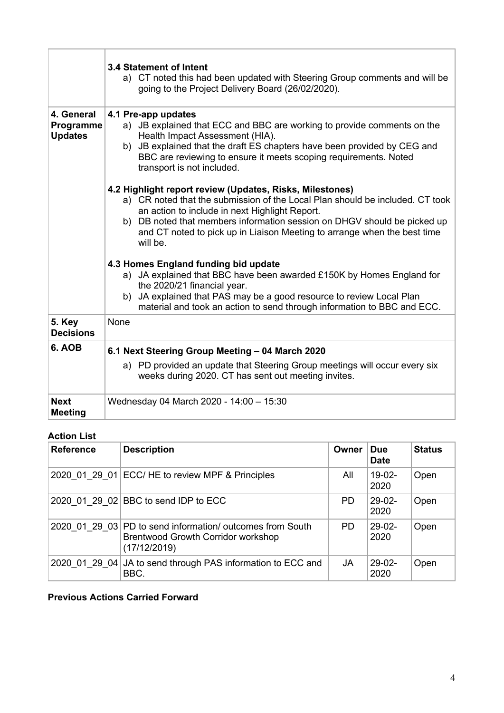|                                           | <b>3.4 Statement of Intent</b><br>a) CT noted this had been updated with Steering Group comments and will be<br>going to the Project Delivery Board (26/02/2020).                                                                                                                                                                                               |
|-------------------------------------------|-----------------------------------------------------------------------------------------------------------------------------------------------------------------------------------------------------------------------------------------------------------------------------------------------------------------------------------------------------------------|
| 4. General<br>Programme<br><b>Updates</b> | 4.1 Pre-app updates<br>a) JB explained that ECC and BBC are working to provide comments on the<br>Health Impact Assessment (HIA).<br>b) JB explained that the draft ES chapters have been provided by CEG and<br>BBC are reviewing to ensure it meets scoping requirements. Noted<br>transport is not included.                                                 |
|                                           | 4.2 Highlight report review (Updates, Risks, Milestones)<br>a) CR noted that the submission of the Local Plan should be included. CT took<br>an action to include in next Highlight Report.<br>b) DB noted that members information session on DHGV should be picked up<br>and CT noted to pick up in Liaison Meeting to arrange when the best time<br>will be. |
|                                           | 4.3 Homes England funding bid update<br>a) JA explained that BBC have been awarded £150K by Homes England for<br>the 2020/21 financial year.<br>b) JA explained that PAS may be a good resource to review Local Plan<br>material and took an action to send through information to BBC and ECC.                                                                 |
| 5. Key<br><b>Decisions</b>                | None                                                                                                                                                                                                                                                                                                                                                            |
| 6. AOB                                    | 6.1 Next Steering Group Meeting - 04 March 2020<br>a) PD provided an update that Steering Group meetings will occur every six<br>weeks during 2020. CT has sent out meeting invites.                                                                                                                                                                            |
| <b>Next</b><br><b>Meeting</b>             | Wednesday 04 March 2020 - 14:00 - 15:30                                                                                                                                                                                                                                                                                                                         |

## **Action List**

| <b>Reference</b> | <b>Description</b>                                                                                                     | Owner     | <b>Due</b><br><b>Date</b> | <b>Status</b> |
|------------------|------------------------------------------------------------------------------------------------------------------------|-----------|---------------------------|---------------|
|                  | 2020 01 29 01 ECC/ HE to review MPF & Principles                                                                       | All       | $19-02-$<br>2020          | Open          |
|                  | 2020 01 29 02 BBC to send IDP to ECC                                                                                   | <b>PD</b> | $29-02-$<br>2020          | Open          |
|                  | 2020 01 29 03 PD to send information/ outcomes from South<br><b>Brentwood Growth Corridor workshop</b><br>(17/12/2019) | PD.       | $29-02-$<br>2020          | Open          |
|                  | 2020 01 29 04 JA to send through PAS information to ECC and<br>BBC.                                                    | JA        | $29-02-$<br>2020          | Open          |

## **Previous Actions Carried Forward**